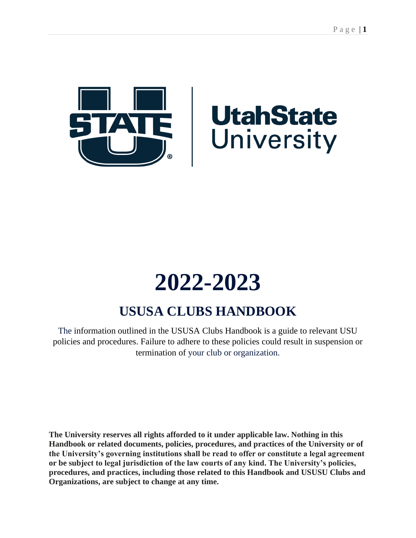

# **2022-2023**

# **USUSA CLUBS HANDBOOK**

The information outlined in the USUSA Clubs Handbook is a guide to relevant USU policies and procedures. Failure to adhere to these policies could result in suspension or termination of your club or organization.

**The University reserves all rights afforded to it under applicable law. Nothing in this Handbook or related documents, policies, procedures, and practices of the University or of the University's governing institutions shall be read to offer or constitute a legal agreement or be subject to legal jurisdiction of the law courts of any kind. The University's policies, procedures, and practices, including those related to this Handbook and USUSU Clubs and Organizations, are subject to change at any time.**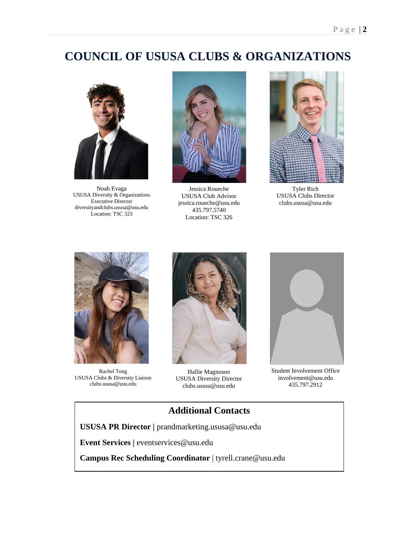# **COUNCIL OF USUSA CLUBS & ORGANIZATIONS**



Noah Evaga USUSA Diversity & Organizations Executive Director diversityandclubs.ususa@usu.edu Location: TSC 323



Jessica Roueche USUSA Club Advisor jessica.roueche@usu.edu 435.797.5740 Location: TSC 326



Tyler Rich USUSA Clubs Director clubs.ususa@usu.edu



Rachel Tong USUSA Clubs & Diversity Liaison clubs.ususa@usu.edu



Hallie Magnuson USUSA Diversity Director clubs.ususa@usu.edu



Student Involvement Office involvement@usu.edu 435.797.2912

### **Additional Contacts**

**USUSA PR Director |** prandmarketing.ususa@usu.edu

**Event Services |** eventservices@usu.edu

**Campus Rec Scheduling Coordinator** | tyrell.crane@usu.edu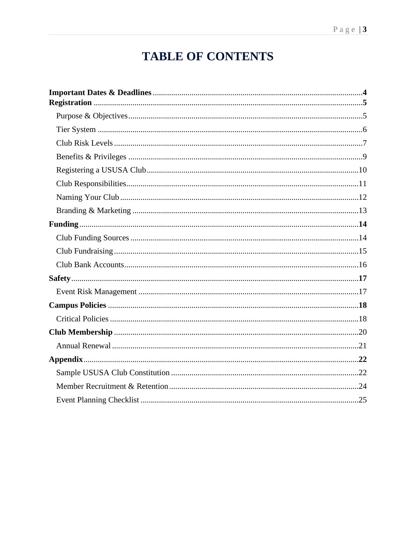# **TABLE OF CONTENTS**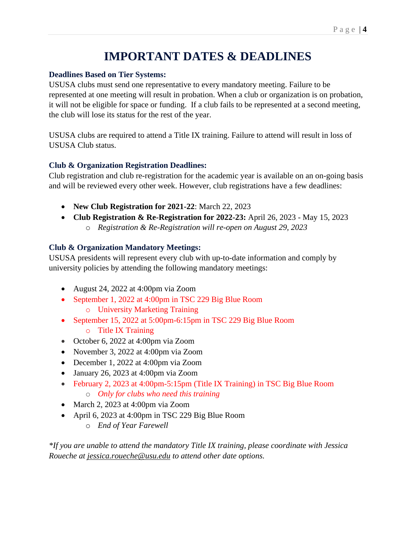# **IMPORTANT DATES & DEADLINES**

### **Deadlines Based on Tier Systems:**

USUSA clubs must send one representative to every mandatory meeting. Failure to be represented at one meeting will result in probation. When a club or organization is on probation, it will not be eligible for space or funding. If a club fails to be represented at a second meeting, the club will lose its status for the rest of the year.

USUSA clubs are required to attend a Title IX training. Failure to attend will result in loss of USUSA Club status.

### **Club & Organization Registration Deadlines:**

Club registration and club re-registration for the academic year is available on an on-going basis and will be reviewed every other week. However, club registrations have a few deadlines:

- **New Club Registration for 2021-22**: March 22, 2023
- **Club Registration & Re-Registration for 2022-23:** April 26, 2023 May 15, 2023
	- o *Registration & Re-Registration will re-open on August 29, 2023*

### **Club & Organization Mandatory Meetings:**

USUSA presidents will represent every club with up-to-date information and comply by university policies by attending the following mandatory meetings:

- August 24, 2022 at 4:00pm via Zoom
- September 1, 2022 at 4:00pm in TSC 229 Big Blue Room
	- o University Marketing Training
- September 15, 2022 at 5:00pm-6:15pm in TSC 229 Big Blue Room
	- o Title IX Training
- October 6, 2022 at 4:00pm via Zoom
- November 3, 2022 at 4:00pm via Zoom
- December 1, 2022 at 4:00pm via Zoom
- January 26, 2023 at 4:00pm via Zoom
- February 2, 2023 at 4:00pm-5:15pm (Title IX Training) in TSC Big Blue Room o *Only for clubs who need this training*
- March 2, 2023 at 4:00pm via Zoom
- April 6, 2023 at 4:00pm in TSC 229 Big Blue Room
	- o *End of Year Farewell*

*\*If you are unable to attend the mandatory Title IX training, please coordinate with Jessica Roueche at [jessica.roueche@usu.edu](mailto:jessica.roueche@usu.edu) to attend other date options.*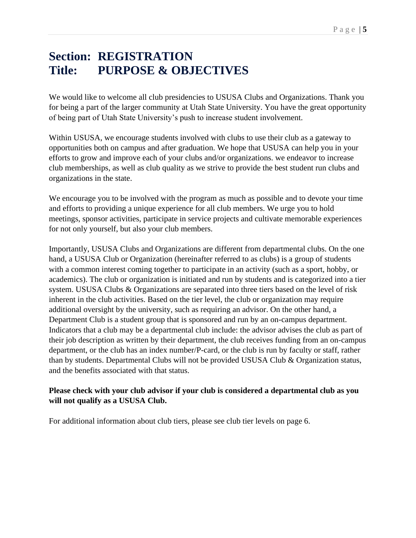# **Section: REGISTRATION Title: PURPOSE & OBJECTIVES**

We would like to welcome all club presidencies to USUSA Clubs and Organizations. Thank you for being a part of the larger community at Utah State University. You have the great opportunity of being part of Utah State University's push to increase student involvement.

Within USUSA, we encourage students involved with clubs to use their club as a gateway to opportunities both on campus and after graduation. We hope that USUSA can help you in your efforts to grow and improve each of your clubs and/or organizations. we endeavor to increase club memberships, as well as club quality as we strive to provide the best student run clubs and organizations in the state.

We encourage you to be involved with the program as much as possible and to devote your time and efforts to providing a unique experience for all club members. We urge you to hold meetings, sponsor activities, participate in service projects and cultivate memorable experiences for not only yourself, but also your club members.

Importantly, USUSA Clubs and Organizations are different from departmental clubs. On the one hand, a USUSA Club or Organization (hereinafter referred to as clubs) is a group of students with a common interest coming together to participate in an activity (such as a sport, hobby, or academics). The club or organization is initiated and run by students and is categorized into a tier system. USUSA Clubs & Organizations are separated into three tiers based on the level of risk inherent in the club activities. Based on the tier level, the club or organization may require additional oversight by the university, such as requiring an advisor. On the other hand, a Department Club is a student group that is sponsored and run by an on-campus department. Indicators that a club may be a departmental club include: the advisor advises the club as part of their job description as written by their department, the club receives funding from an on-campus department, or the club has an index number/P-card, or the club is run by faculty or staff, rather than by students. Departmental Clubs will not be provided USUSA Club & Organization status, and the benefits associated with that status.

### **Please check with your club advisor if your club is considered a departmental club as you will not qualify as a USUSA Club.**

For additional information about club tiers, please see club tier levels on page 6.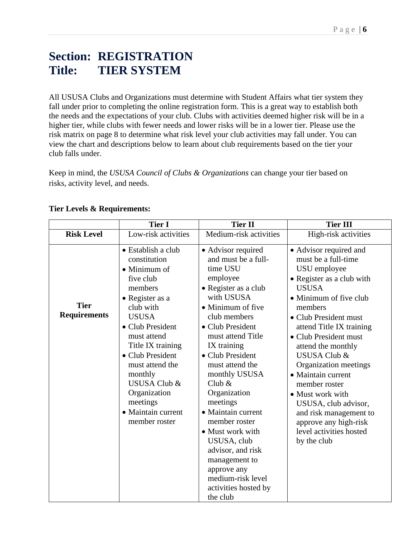# **Section: REGISTRATION Title: TIER SYSTEM**

All USUSA Clubs and Organizations must determine with Student Affairs what tier system they fall under prior to completing the online registration form. This is a great way to establish both the needs and the expectations of your club. Clubs with activities deemed higher risk will be in a higher tier, while clubs with fewer needs and lower risks will be in a lower tier. Please use the risk matrix on page 8 to determine what risk level your club activities may fall under. You can view the chart and descriptions below to learn about club requirements based on the tier your club falls under.

Keep in mind, the *USUSA Council of Clubs & Organizations* can change your tier based on risks, activity level, and needs.

|                                    | <b>Tier I</b>                                                                                                                                                                                                                                                                                                                              | <b>Tier II</b>                                                                                                                                                                                                                                                                                                                                                                                                                                                                                | <b>Tier III</b>                                                                                                                                                                                                                                                                                                                                                                                                                                                                         |
|------------------------------------|--------------------------------------------------------------------------------------------------------------------------------------------------------------------------------------------------------------------------------------------------------------------------------------------------------------------------------------------|-----------------------------------------------------------------------------------------------------------------------------------------------------------------------------------------------------------------------------------------------------------------------------------------------------------------------------------------------------------------------------------------------------------------------------------------------------------------------------------------------|-----------------------------------------------------------------------------------------------------------------------------------------------------------------------------------------------------------------------------------------------------------------------------------------------------------------------------------------------------------------------------------------------------------------------------------------------------------------------------------------|
| <b>Risk Level</b>                  | Low-risk activities                                                                                                                                                                                                                                                                                                                        | Medium-risk activities                                                                                                                                                                                                                                                                                                                                                                                                                                                                        | High-risk activities                                                                                                                                                                                                                                                                                                                                                                                                                                                                    |
| <b>Tier</b><br><b>Requirements</b> | • Establish a club<br>constitution<br>$\bullet$ Minimum of<br>five club<br>members<br>• Register as a<br>club with<br><b>USUSA</b><br>• Club President<br>must attend<br>Title IX training<br>• Club President<br>must attend the<br>monthly<br><b>USUSA Club &amp;</b><br>Organization<br>meetings<br>• Maintain current<br>member roster | • Advisor required<br>and must be a full-<br>time USU<br>employee<br>• Register as a club<br>with USUSA<br>• Minimum of five<br>club members<br>• Club President<br>must attend Title<br>IX training<br>• Club President<br>must attend the<br>monthly USUSA<br>Club $\&$<br>Organization<br>meetings<br>• Maintain current<br>member roster<br>• Must work with<br>USUSA, club<br>advisor, and risk<br>management to<br>approve any<br>medium-risk level<br>activities hosted by<br>the club | • Advisor required and<br>must be a full-time<br>USU employee<br>• Register as a club with<br><b>USUSA</b><br>• Minimum of five club<br>members<br>• Club President must<br>attend Title IX training<br>• Club President must<br>attend the monthly<br><b>USUSA Club &amp;</b><br>Organization meetings<br>• Maintain current<br>member roster<br>• Must work with<br>USUSA, club advisor,<br>and risk management to<br>approve any high-risk<br>level activities hosted<br>by the club |

#### **Tier Levels & Requirements:**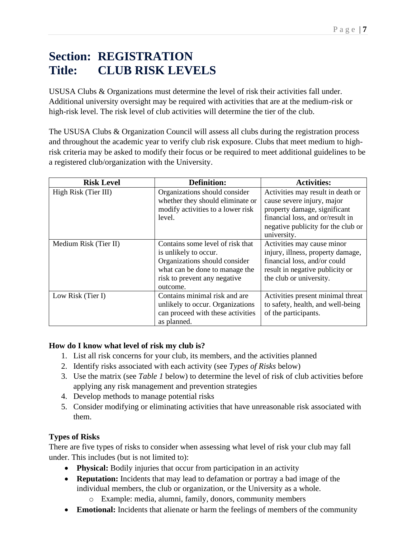# **Section: REGISTRATION Title: CLUB RISK LEVELS**

USUSA Clubs & Organizations must determine the level of risk their activities fall under. Additional university oversight may be required with activities that are at the medium-risk or high-risk level. The risk level of club activities will determine the tier of the club.

The USUSA Clubs & Organization Council will assess all clubs during the registration process and throughout the academic year to verify club risk exposure. Clubs that meet medium to highrisk criteria may be asked to modify their focus or be required to meet additional guidelines to be a registered club/organization with the University.

| <b>Risk Level</b>     | <b>Definition:</b>                | <b>Activities:</b>                 |
|-----------------------|-----------------------------------|------------------------------------|
| High Risk (Tier III)  | Organizations should consider     | Activities may result in death or  |
|                       | whether they should eliminate or  | cause severe injury, major         |
|                       | modify activities to a lower risk | property damage, significant       |
|                       | level.                            | financial loss, and or/result in   |
|                       |                                   | negative publicity for the club or |
|                       |                                   | university.                        |
| Medium Risk (Tier II) | Contains some level of risk that  | Activities may cause minor         |
|                       | is unlikely to occur.             | injury, illness, property damage,  |
|                       | Organizations should consider     | financial loss, and/or could       |
|                       | what can be done to manage the    | result in negative publicity or    |
|                       | risk to prevent any negative      | the club or university.            |
|                       | outcome.                          |                                    |
| Low Risk (Tier I)     | Contains minimal risk and are     | Activities present minimal threat  |
|                       | unlikely to occur. Organizations  | to safety, health, and well-being  |
|                       | can proceed with these activities | of the participants.               |
|                       | as planned.                       |                                    |

### **How do I know what level of risk my club is?**

- 1. List all risk concerns for your club, its members, and the activities planned
- 2. Identify risks associated with each activity (see *Types of Risks* below)
- 3. Use the matrix (see *Table 1* below) to determine the level of risk of club activities before applying any risk management and prevention strategies
- 4. Develop methods to manage potential risks
- 5. Consider modifying or eliminating activities that have unreasonable risk associated with them.

### **Types of Risks**

There are five types of risks to consider when assessing what level of risk your club may fall under. This includes (but is not limited to):

- **Physical:** Bodily injuries that occur from participation in an activity
- **Reputation:** Incidents that may lead to defamation or portray a bad image of the individual members, the club or organization, or the University as a whole.
	- o Example: media, alumni, family, donors, community members
- **Emotional:** Incidents that alienate or harm the feelings of members of the community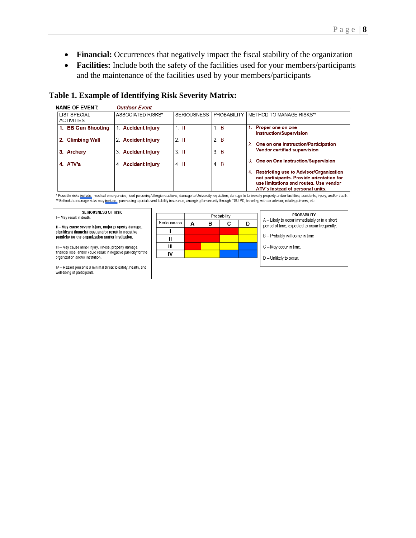- **Financial:** Occurrences that negatively impact the fiscal stability of the organization
- **Facilities:** Include both the safety of the facilities used for your members/participants and the maintenance of the facilities used by your members/participants

#### **Table 1. Example of Identifying Risk Severity Matrix:**

| <b>NAME OF EVENT:</b>                    | <b>Outdoor Event</b> |                    |                    |                                                                                                                                                                          |
|------------------------------------------|----------------------|--------------------|--------------------|--------------------------------------------------------------------------------------------------------------------------------------------------------------------------|
| <b>LIST SPECIAL</b><br><b>ACTIVITIES</b> | ASSOCIATED RISKS*    | <b>SERIOUSNESS</b> | <b>PROBABILITY</b> | I METHOD TO MANAGE RISKS**                                                                                                                                               |
| 1. BB Gun Shooting                       | 1. Accident Injury   | $1 \quad$ II       | 1. B               | Proper one on one<br>1.<br><b>Instruction/Supervision</b>                                                                                                                |
| 2. Climbing Wall                         | 2. Accident Injury   | $2 \parallel$      | 2. B               | One on one Instruction/Participation                                                                                                                                     |
| 3. Archery                               | 3. Accident Injury   | $3.$ II            | 3. B               | <b>Vendor certified supervision</b>                                                                                                                                      |
| 4. ATV's                                 | 4. Accident Injury   | $4.$ II            | 4. B               | One on One Instruction/Supervision<br>3.                                                                                                                                 |
|                                          |                      |                    |                    | Restricting use to Advisor/Organization<br>4.<br>not participants. Provide orientation for<br>use limitations and routes. Use vendor<br>ATV's instead of personal units. |

\* Possible risks include; medical emergencies, food poisoning/allergic reactions, damage to University reputation, damage to University property and/or facilities, accidents, injury, and/or death. \*\*Methods to manage risks may include: purchasing special event liability insurance, arranging for security through TSU PD, traveling with an advisor, rotating drivers, etc.

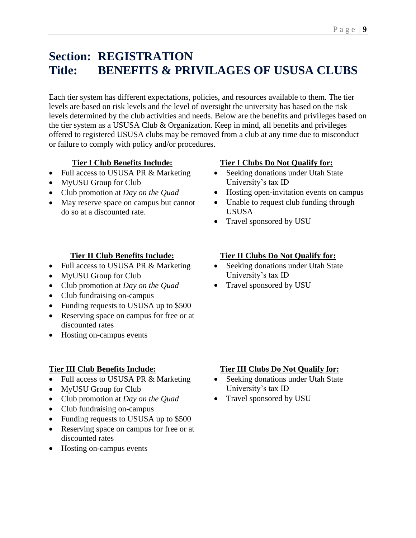# **Section: REGISTRATION Title: BENEFITS & PRIVILAGES OF USUSA CLUBS**

Each tier system has different expectations, policies, and resources available to them. The tier levels are based on risk levels and the level of oversight the university has based on the risk levels determined by the club activities and needs. Below are the benefits and privileges based on the tier system as a USUSA Club & Organization. Keep in mind, all benefits and privileges offered to registered USUSA clubs may be removed from a club at any time due to misconduct or failure to comply with policy and/or procedures.

### **Tier I Club Benefits Include:**

- Full access to USUSA PR & Marketing
- MyUSU Group for Club
- Club promotion at *Day on the Quad*
- May reserve space on campus but cannot do so at a discounted rate.

### **Tier II Club Benefits Include:**

- Full access to USUSA PR & Marketing
- MyUSU Group for Club
- Club promotion at *Day on the Quad*
- Club fundraising on-campus
- Funding requests to USUSA up to \$500
- Reserving space on campus for free or at discounted rates
- Hosting on-campus events

### **Tier III Club Benefits Include:**

- Full access to USUSA PR & Marketing
- MyUSU Group for Club
- Club promotion at *Day on the Quad*
- Club fundraising on-campus
- Funding requests to USUSA up to \$500
- Reserving space on campus for free or at discounted rates
- Hosting on-campus events

### **Tier I Clubs Do Not Qualify for:**

- Seeking donations under Utah State University's tax ID
- Hosting open-invitation events on campus
- Unable to request club funding through USUSA
- Travel sponsored by USU

### **Tier II Clubs Do Not Qualify for:**

- Seeking donations under Utah State University's tax ID
- Travel sponsored by USU

### **Tier III Clubs Do Not Qualify for:**

- Seeking donations under Utah State University's tax ID
- Travel sponsored by USU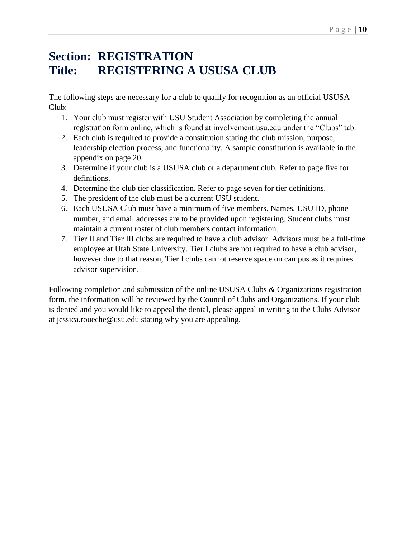# **Section: REGISTRATION Title: REGISTERING A USUSA CLUB**

The following steps are necessary for a club to qualify for recognition as an official USUSA Club:

- 1. Your club must register with USU Student Association by completing the annual registration form online, which is found at involvement.usu.edu under the "Clubs" tab.
- 2. Each club is required to provide a constitution stating the club mission, purpose, leadership election process, and functionality. A sample constitution is available in the appendix on page 20.
- 3. Determine if your club is a USUSA club or a department club. Refer to page five for definitions.
- 4. Determine the club tier classification. Refer to page seven for tier definitions.
- 5. The president of the club must be a current USU student.
- 6. Each USUSA Club must have a minimum of five members. Names, USU ID, phone number, and email addresses are to be provided upon registering. Student clubs must maintain a current roster of club members contact information.
- 7. Tier II and Tier III clubs are required to have a club advisor. Advisors must be a full-time employee at Utah State University. Tier I clubs are not required to have a club advisor, however due to that reason, Tier I clubs cannot reserve space on campus as it requires advisor supervision.

Following completion and submission of the online USUSA Clubs & Organizations registration form, the information will be reviewed by the Council of Clubs and Organizations. If your club is denied and you would like to appeal the denial, please appeal in writing to the Clubs Advisor at jessica.roueche@usu.edu stating why you are appealing.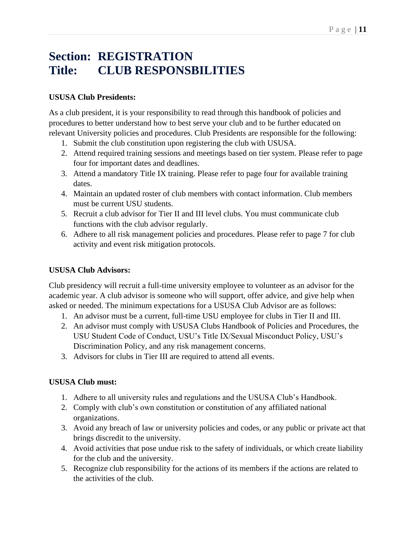# **Section: REGISTRATION Title: CLUB RESPONSBILITIES**

### **USUSA Club Presidents:**

As a club president, it is your responsibility to read through this handbook of policies and procedures to better understand how to best serve your club and to be further educated on relevant University policies and procedures. Club Presidents are responsible for the following:

- 1. Submit the club constitution upon registering the club with USUSA.
- 2. Attend required training sessions and meetings based on tier system. Please refer to page four for important dates and deadlines.
- 3. Attend a mandatory Title IX training. Please refer to page four for available training dates.
- 4. Maintain an updated roster of club members with contact information. Club members must be current USU students.
- 5. Recruit a club advisor for Tier II and III level clubs. You must communicate club functions with the club advisor regularly.
- 6. Adhere to all risk management policies and procedures. Please refer to page 7 for club activity and event risk mitigation protocols.

### **USUSA Club Advisors:**

Club presidency will recruit a full-time university employee to volunteer as an advisor for the academic year. A club advisor is someone who will support, offer advice, and give help when asked or needed. The minimum expectations for a USUSA Club Advisor are as follows:

- 1. An advisor must be a current, full-time USU employee for clubs in Tier II and III.
- 2. An advisor must comply with USUSA Clubs Handbook of Policies and Procedures, the USU Student Code of Conduct, USU's Title IX/Sexual Misconduct Policy, USU's Discrimination Policy, and any risk management concerns.
- 3. Advisors for clubs in Tier III are required to attend all events.

### **USUSA Club must:**

- 1. Adhere to all university rules and regulations and the USUSA Club's Handbook.
- 2. Comply with club's own constitution or constitution of any affiliated national organizations.
- 3. Avoid any breach of law or university policies and codes, or any public or private act that brings discredit to the university.
- 4. Avoid activities that pose undue risk to the safety of individuals, or which create liability for the club and the university.
- 5. Recognize club responsibility for the actions of its members if the actions are related to the activities of the club.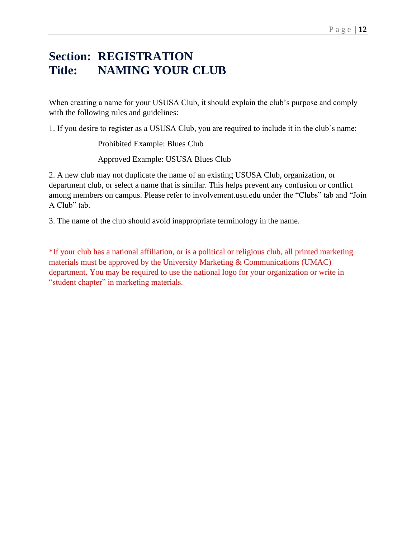# **Section: REGISTRATION Title: NAMING YOUR CLUB**

When creating a name for your USUSA Club, it should explain the club's purpose and comply with the following rules and guidelines:

1. If you desire to register as a USUSA Club, you are required to include it in the club's name:

Prohibited Example: Blues Club

Approved Example: USUSA Blues Club

2. A new club may not duplicate the name of an existing USUSA Club, organization, or department club, or select a name that is similar. This helps prevent any confusion or conflict among members on campus. Please refer to involvement.usu.edu under the "Clubs" tab and "Join A Club" tab.

3. The name of the club should avoid inappropriate terminology in the name.

\*If your club has a national affiliation, or is a political or religious club, all printed marketing materials must be approved by the University Marketing & Communications (UMAC) department. You may be required to use the national logo for your organization or write in "student chapter" in marketing materials.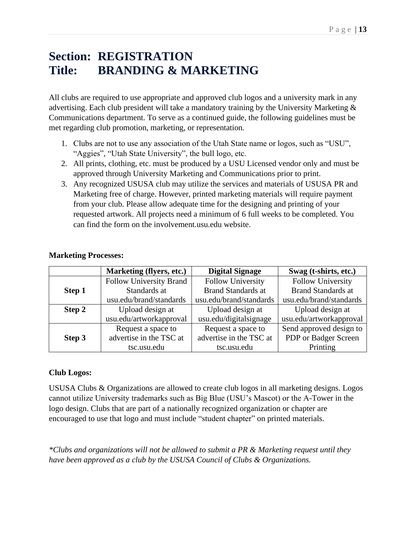# **Section: REGISTRATION Title: BRANDING & MARKETING**

All clubs are required to use appropriate and approved club logos and a university mark in any advertising. Each club president will take a mandatory training by the University Marketing & Communications department. To serve as a continued guide, the following guidelines must be met regarding club promotion, marketing, or representation.

- 1. Clubs are not to use any association of the Utah State name or logos, such as "USU", "Aggies", "Utah State University", the bull logo, etc.
- 2. All prints, clothing, etc. must be produced by a USU Licensed vendor only and must be approved through University Marketing and Communications prior to print.
- 3. Any recognized USUSA club may utilize the services and materials of USUSA PR and Marketing free of charge. However, printed marketing materials will require payment from your club. Please allow adequate time for the designing and printing of your requested artwork. All projects need a minimum of 6 full weeks to be completed. You can find the form on the involvement.usu.edu website.

|        | <b>Marketing (flyers, etc.)</b> | <b>Digital Signage</b>    | Swag (t-shirts, etc.)     |
|--------|---------------------------------|---------------------------|---------------------------|
|        | <b>Follow University Brand</b>  | Follow University         | <b>Follow University</b>  |
| Step 1 | Standards at                    | <b>Brand Standards at</b> | <b>Brand Standards at</b> |
|        | usu.edu/brand/standards         | usu.edu/brand/standards   | usu.edu/brand/standards   |
| Step 2 | Upload design at                | Upload design at          | Upload design at          |
|        | usu.edu/artworkapproval         | usu.edu/digitalsignage    | usu.edu/artworkapproval   |
|        | Request a space to              | Request a space to        | Send approved design to   |
| Step 3 | advertise in the TSC at         | advertise in the TSC at   | PDP or Badger Screen      |
|        | tsc.usu.edu                     | tsc.usu.edu               | Printing                  |

### **Club Logos:**

USUSA Clubs & Organizations are allowed to create club logos in all marketing designs. Logos cannot utilize University trademarks such as Big Blue (USU's Mascot) or the A-Tower in the logo design. Clubs that are part of a nationally recognized organization or chapter are encouraged to use that logo and must include "student chapter" on printed materials.

*\*Clubs and organizations will not be allowed to submit a PR & Marketing request until they have been approved as a club by the USUSA Council of Clubs & Organizations.*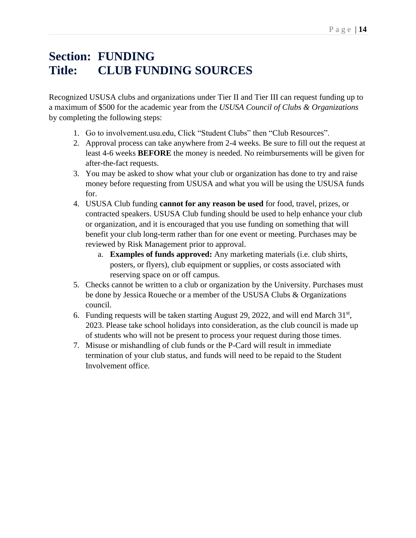# **Section: FUNDING Title: CLUB FUNDING SOURCES**

Recognized USUSA clubs and organizations under Tier II and Tier III can request funding up to a maximum of \$500 for the academic year from the *USUSA Council of Clubs & Organizations* by completing the following steps:

- 1. Go to involvement.usu.edu, Click "Student Clubs" then "Club Resources".
- 2. Approval process can take anywhere from 2-4 weeks. Be sure to fill out the request at least 4-6 weeks **BEFORE** the money is needed. No reimbursements will be given for after-the-fact requests.
- 3. You may be asked to show what your club or organization has done to try and raise money before requesting from USUSA and what you will be using the USUSA funds for.
- 4. USUSA Club funding **cannot for any reason be used** for food, travel, prizes, or contracted speakers. USUSA Club funding should be used to help enhance your club or organization, and it is encouraged that you use funding on something that will benefit your club long-term rather than for one event or meeting. Purchases may be reviewed by Risk Management prior to approval.
	- a. **Examples of funds approved:** Any marketing materials (i.e. club shirts, posters, or flyers), club equipment or supplies, or costs associated with reserving space on or off campus.
- 5. Checks cannot be written to a club or organization by the University. Purchases must be done by Jessica Roueche or a member of the USUSA Clubs & Organizations council.
- 6. Funding requests will be taken starting August 29, 2022, and will end March  $31<sup>st</sup>$ , 2023. Please take school holidays into consideration, as the club council is made up of students who will not be present to process your request during those times.
- 7. Misuse or mishandling of club funds or the P-Card will result in immediate termination of your club status, and funds will need to be repaid to the Student Involvement office.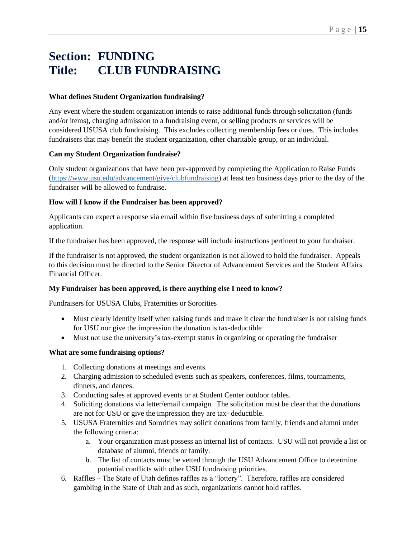# **Section: FUNDING Title: CLUB FUNDRAISING**

#### **What defines Student Organization fundraising?**

Any event where the student organization intends to raise additional funds through solicitation (funds and/or items), charging admission to a fundraising event, or selling products or services will be considered USUSA club fundraising. This excludes collecting membership fees or dues. This includes fundraisers that may benefit the student organization, other charitable group, or an individual.

#### **Can my Student Organization fundraise?**

Only student organizations that have been pre-approved by completing the Application to Raise Funds [\(https://www.usu.edu/advancement/give/clubfundraising\)](https://www.usu.edu/advancement/give/clubfundraising) at least ten business days prior to the day of the fundraiser will be allowed to fundraise.

#### **How will I know if the Fundraiser has been approved?**

Applicants can expect a response via email within five business days of submitting a completed application.

If the fundraiser has been approved, the response will include instructions pertinent to your fundraiser.

If the fundraiser is not approved, the student organization is not allowed to hold the fundraiser. Appeals to this decision must be directed to the Senior Director of Advancement Services and the Student Affairs Financial Officer.

#### **My Fundraiser has been approved, is there anything else I need to know?**

Fundraisers for USUSA Clubs, Fraternities or Sororities

- Must clearly identify itself when raising funds and make it clear the fundraiser is not raising funds for USU nor give the impression the donation is tax-deductible
- Must not use the university's tax-exempt status in organizing or operating the fundraiser

#### **What are some fundraising options?**

- 1. Collecting donations at meetings and events.
- 2. Charging admission to scheduled events such as speakers, conferences, films, tournaments, dinners, and dances.
- 3. Conducting sales at approved events or at Student Center outdoor tables.
- 4. Soliciting donations via letter/email campaign. The solicitation must be clear that the donations are not for USU or give the impression they are tax- deductible.
- 5. USUSA Fraternities and Sororities may solicit donations from family, friends and alumni under the following criteria:
	- a. Your organization must possess an internal list of contacts. USU will not provide a list or database of alumni, friends or family.
	- b. The list of contacts must be vetted through the USU Advancement Office to determine potential conflicts with other USU fundraising priorities.
- 6. Raffles The State of Utah defines raffles as a "lottery". Therefore, raffles are considered gambling in the State of Utah and as such, organizations cannot hold raffles.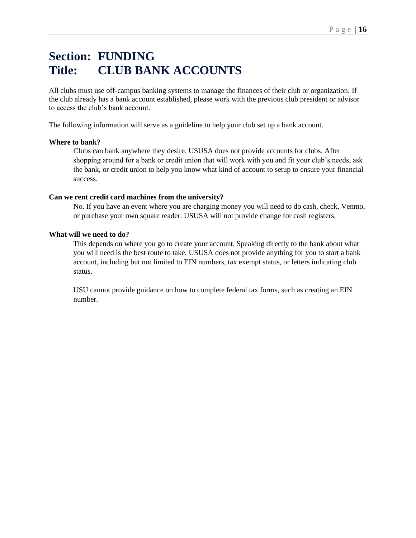# **Section: FUNDING Title: CLUB BANK ACCOUNTS**

All clubs must use off-campus banking systems to manage the finances of their club or organization. If the club already has a bank account established, please work with the previous club president or advisor to access the club's bank account.

The following information will serve as a guideline to help your club set up a bank account.

#### **Where to bank?**

Clubs can bank anywhere they desire. USUSA does not provide accounts for clubs. After shopping around for a bank or credit union that will work with you and fit your club's needs, ask the bank, or credit union to help you know what kind of account to setup to ensure your financial success.

#### **Can we rent credit card machines from the university?**

No. If you have an event where you are charging money you will need to do cash, check, Venmo, or purchase your own square reader. USUSA will not provide change for cash registers.

#### **What will we need to do?**

This depends on where you go to create your account. Speaking directly to the bank about what you will need is the best route to take. USUSA does not provide anything for you to start a bank account, including but not limited to EIN numbers, tax exempt status, or letters indicating club status.

USU cannot provide guidance on how to complete federal tax forms, such as creating an EIN number.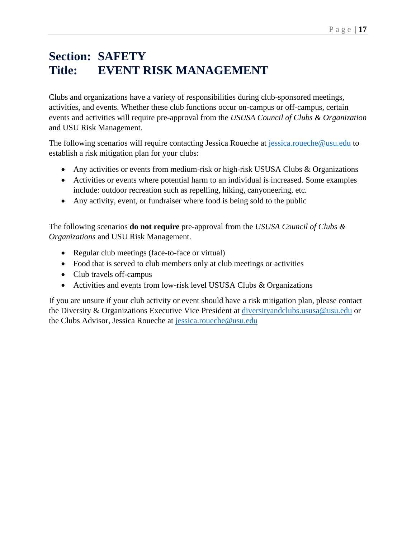# **Section: SAFETY Title: EVENT RISK MANAGEMENT**

Clubs and organizations have a variety of responsibilities during club-sponsored meetings, activities, and events. Whether these club functions occur on-campus or off-campus, certain events and activities will require pre-approval from the *USUSA Council of Clubs & Organization*  and USU Risk Management.

The following scenarios will require contacting Jessica Roueche at [jessica.roueche@usu.edu](mailto:jessica.roueche@usu.edu) to establish a risk mitigation plan for your clubs:

- Any activities or events from medium-risk or high-risk USUSA Clubs & Organizations
- Activities or events where potential harm to an individual is increased. Some examples include: outdoor recreation such as repelling, hiking, canyoneering, etc.
- Any activity, event, or fundraiser where food is being sold to the public

The following scenarios **do not require** pre-approval from the *USUSA Council of Clubs & Organizations* and USU Risk Management.

- Regular club meetings (face-to-face or virtual)
- Food that is served to club members only at club meetings or activities
- Club travels off-campus
- Activities and events from low-risk level USUSA Clubs & Organizations

If you are unsure if your club activity or event should have a risk mitigation plan, please contact the Diversity & Organizations Executive Vice President at [diversityandclubs.ususa@usu.edu](mailto:diversityandclubs.ususa@usu.edu) or the Clubs Advisor, Jessica Roueche at [jessica.roueche@usu.edu](mailto:jessica.roueche@usu.edu)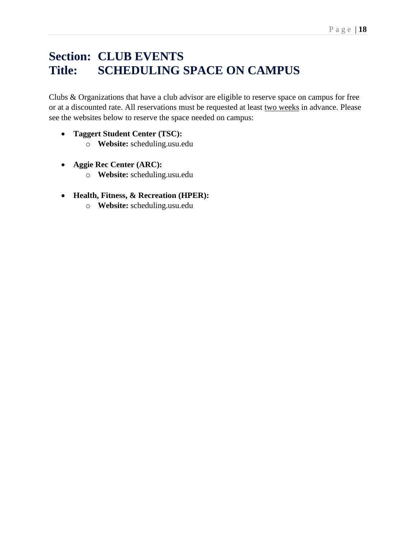# **Section: CLUB EVENTS Title: SCHEDULING SPACE ON CAMPUS**

Clubs & Organizations that have a club advisor are eligible to reserve space on campus for free or at a discounted rate. All reservations must be requested at least two weeks in advance. Please see the websites below to reserve the space needed on campus:

- **Taggert Student Center (TSC):** 
	- o **Website:** scheduling.usu.edu
- **Aggie Rec Center (ARC):** 
	- o **Website:** scheduling.usu.edu
- **Health, Fitness, & Recreation (HPER):** 
	- o **Website:** scheduling.usu.edu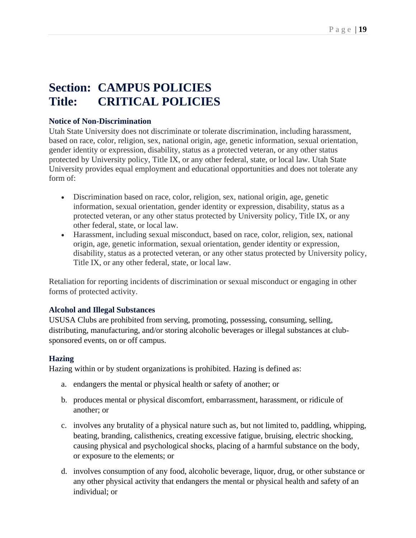# **Section: CAMPUS POLICIES Title: CRITICAL POLICIES**

#### **Notice of Non-Discrimination**

Utah State University does not discriminate or tolerate discrimination, including harassment, based on race, color, religion, sex, national origin, age, genetic information, sexual orientation, gender identity or expression, disability, status as a protected veteran, or any other status protected by University policy, Title IX, or any other federal, state, or local law. Utah State University provides equal employment and educational opportunities and does not tolerate any form of:

- Discrimination based on race, color, religion, sex, national origin, age, genetic information, sexual orientation, gender identity or expression, disability, status as a protected veteran, or any other status protected by University policy, Title IX, or any other federal, state, or local law.
- Harassment, including sexual misconduct, based on race, color, religion, sex, national origin, age, genetic information, sexual orientation, gender identity or expression, disability, status as a protected veteran, or any other status protected by University policy, Title IX, or any other federal, state, or local law.

Retaliation for reporting incidents of discrimination or sexual misconduct or engaging in other forms of protected activity.

#### **Alcohol and Illegal Substances**

USUSA Clubs are prohibited from serving, promoting, possessing, consuming, selling, distributing, manufacturing, and/or storing alcoholic beverages or illegal substances at clubsponsored events, on or off campus.

### **Hazing**

Hazing within or by student organizations is prohibited. Hazing is defined as:

- a. endangers the mental or physical health or safety of another; or
- b. produces mental or physical discomfort, embarrassment, harassment, or ridicule of another; or
- c. involves any brutality of a physical nature such as, but not limited to, paddling, whipping, beating, branding, calisthenics, creating excessive fatigue, bruising, electric shocking, causing physical and psychological shocks, placing of a harmful substance on the body, or exposure to the elements; or
- d. involves consumption of any food, alcoholic beverage, liquor, drug, or other substance or any other physical activity that endangers the mental or physical health and safety of an individual; or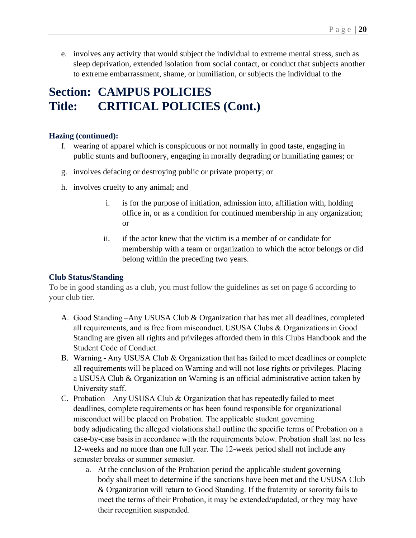e. involves any activity that would subject the individual to extreme mental stress, such as sleep deprivation, extended isolation from social contact, or conduct that subjects another to extreme embarrassment, shame, or humiliation, or subjects the individual to the

## **Section: CAMPUS POLICIES Title: CRITICAL POLICIES (Cont.)**

#### **Hazing (continued):**

- f. wearing of apparel which is conspicuous or not normally in good taste, engaging in public stunts and buffoonery, engaging in morally degrading or humiliating games; or
- g. involves defacing or destroying public or private property; or
- h. involves cruelty to any animal; and
	- i. is for the purpose of initiation, admission into, affiliation with, holding office in, or as a condition for continued membership in any organization; or
	- ii. if the actor knew that the victim is a member of or candidate for membership with a team or organization to which the actor belongs or did belong within the preceding two years.

### **Club Status/Standing**

To be in good standing as a club, you must follow the guidelines as set on page 6 according to your club tier.

- A. Good Standing –Any USUSA Club & Organization that has met all deadlines, completed all requirements, and is free from misconduct. USUSA Clubs & Organizations in Good Standing are given all rights and privileges afforded them in this Clubs Handbook and the Student Code of Conduct.
- B. Warning - Any USUSA Club & Organization that has failed to meet deadlines or complete all requirements will be placed on Warning and will not lose rights or privileges. Placing a USUSA Club & Organization on Warning is an official administrative action taken by University staff.
- C. Probation – Any USUSA Club & Organization that has repeatedly failed to meet deadlines, complete requirements or has been found responsible for organizational misconduct will be placed on Probation. The applicable student governing body adjudicating the alleged violations shall outline the specific terms of Probation on a case-by-case basis in accordance with the requirements below. Probation shall last no less 12-weeks and no more than one full year. The 12-week period shall not include any semester breaks or summer semester.
	- a. At the conclusion of the Probation period the applicable student governing body shall meet to determine if the sanctions have been met and the USUSA Club & Organization will return to Good Standing. If the fraternity or sorority fails to meet the terms of their Probation, it may be extended/updated, or they may have their recognition suspended.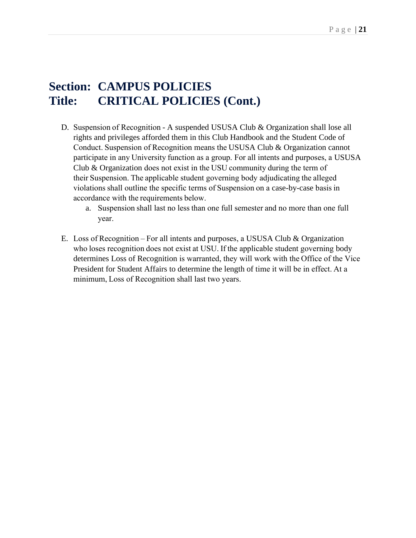### **Section: CAMPUS POLICIES Title: CRITICAL POLICIES (Cont.)**

- D. Suspension of Recognition - A suspended USUSA Club & Organization shall lose all rights and privileges afforded them in this Club Handbook and the Student Code of Conduct. Suspension of Recognition means the USUSA Club & Organization cannot participate in any University function as a group. For all intents and purposes, a USUSA Club & Organization does not exist in the USU community during the term of their Suspension. The applicable student governing body adjudicating the alleged violations shall outline the specific terms of Suspension on a case-by-case basis in accordance with the requirements below.
	- a. Suspension shall last no less than one full semester and no more than one full year.
- E. Loss of Recognition – For all intents and purposes, a USUSA Club & Organization who loses recognition does not exist at USU. If the applicable student governing body determines Loss of Recognition is warranted, they will work with the Office of the Vice President for Student Affairs to determine the length of time it will be in effect. At a minimum, Loss of Recognition shall last two years.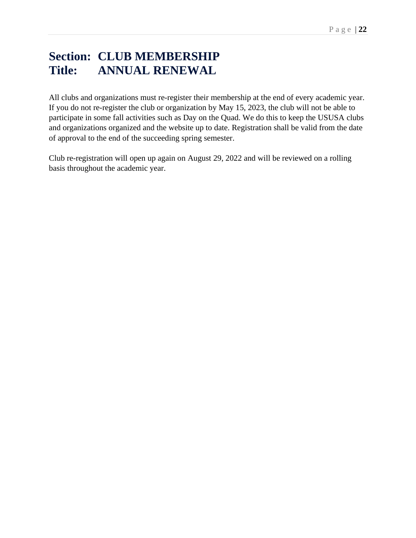# **Section: CLUB MEMBERSHIP Title: ANNUAL RENEWAL**

All clubs and organizations must re-register their membership at the end of every academic year. If you do not re-register the club or organization by May 15, 2023, the club will not be able to participate in some fall activities such as Day on the Quad. We do this to keep the USUSA clubs and organizations organized and the website up to date. Registration shall be valid from the date of approval to the end of the succeeding spring semester.

Club re-registration will open up again on August 29, 2022 and will be reviewed on a rolling basis throughout the academic year.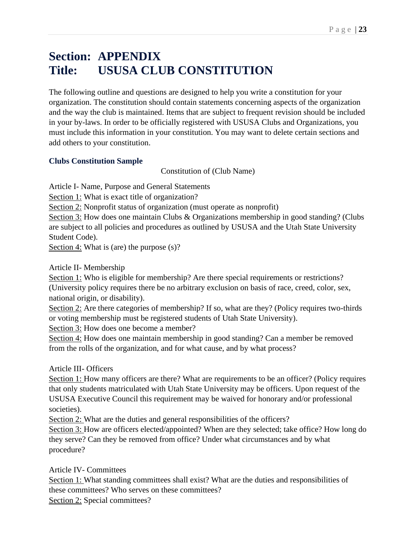# **Section: APPENDIX Title: USUSA CLUB CONSTITUTION**

The following outline and questions are designed to help you write a constitution for your organization. The constitution should contain statements concerning aspects of the organization and the way the club is maintained. Items that are subject to frequent revision should be included in your by-laws. In order to be officially registered with USUSA Clubs and Organizations, you must include this information in your constitution. You may want to delete certain sections and add others to your constitution.

### **Clubs Constitution Sample**

Constitution of (Club Name)

Article I- Name, Purpose and General Statements

Section 1: What is exact title of organization?

Section 2: Nonprofit status of organization (must operate as nonprofit)

Section 3: How does one maintain Clubs & Organizations membership in good standing? (Clubs are subject to all policies and procedures as outlined by USUSA and the Utah State University Student Code).

Section 4: What is (are) the purpose (s)?

Article II- Membership

Section 1: Who is eligible for membership? Are there special requirements or restrictions? (University policy requires there be no arbitrary exclusion on basis of race, creed, color, sex, national origin, or disability).

Section 2: Are there categories of membership? If so, what are they? (Policy requires two-thirds or voting membership must be registered students of Utah State University).

Section 3: How does one become a member?

Section 4: How does one maintain membership in good standing? Can a member be removed from the rolls of the organization, and for what cause, and by what process?

Article III- Officers

Section 1: How many officers are there? What are requirements to be an officer? (Policy requires that only students matriculated with Utah State University may be officers. Upon request of the USUSA Executive Council this requirement may be waived for honorary and/or professional societies).

Section 2: What are the duties and general responsibilities of the officers?

Section 3: How are officers elected/appointed? When are they selected; take office? How long do they serve? Can they be removed from office? Under what circumstances and by what procedure?

Article IV- Committees

Section 1: What standing committees shall exist? What are the duties and responsibilities of these committees? Who serves on these committees?

Section 2: Special committees?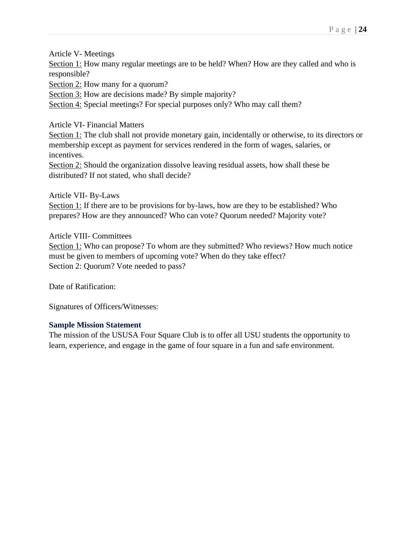Article V- Meetings

Section 1: How many regular meetings are to be held? When? How are they called and who is responsible?

Section 2: How many for a quorum?

Section 3: How are decisions made? By simple majority?

Section 4: Special meetings? For special purposes only? Who may call them?

Article VI- Financial Matters

Section 1: The club shall not provide monetary gain, incidentally or otherwise, to its directors or membership except as payment for services rendered in the form of wages, salaries, or incentives.

Section 2: Should the organization dissolve leaving residual assets, how shall these be distributed? If not stated, who shall decide?

Article VII- By-Laws

Section 1: If there are to be provisions for by-laws, how are they to be established? Who prepares? How are they announced? Who can vote? Quorum needed? Majority vote?

Article VIII- Committees

Section 1: Who can propose? To whom are they submitted? Who reviews? How much notice must be given to members of upcoming vote? When do they take effect? Section 2: Quorum? Vote needed to pass?

Date of Ratification:

Signatures of Officers/Witnesses:

#### **Sample Mission Statement**

The mission of the USUSA Four Square Club is to offer all USU students the opportunity to learn, experience, and engage in the game of four square in a fun and safe environment.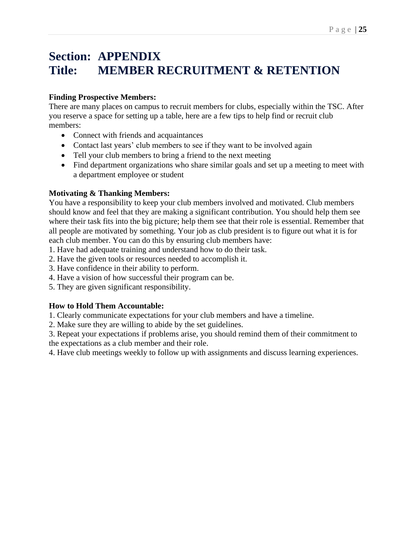# **Section: APPENDIX Title: MEMBER RECRUITMENT & RETENTION**

### **Finding Prospective Members:**

There are many places on campus to recruit members for clubs, especially within the TSC. After you reserve a space for setting up a table, here are a few tips to help find or recruit club members:

- Connect with friends and acquaintances
- Contact last years' club members to see if they want to be involved again
- Tell your club members to bring a friend to the next meeting
- Find department organizations who share similar goals and set up a meeting to meet with a department employee or student

### **Motivating & Thanking Members:**

You have a responsibility to keep your club members involved and motivated. Club members should know and feel that they are making a significant contribution. You should help them see where their task fits into the big picture; help them see that their role is essential. Remember that all people are motivated by something. Your job as club president is to figure out what it is for each club member. You can do this by ensuring club members have:

- 1. Have had adequate training and understand how to do their task.
- 2. Have the given tools or resources needed to accomplish it.
- 3. Have confidence in their ability to perform.
- 4. Have a vision of how successful their program can be.
- 5. They are given significant responsibility.

### **How to Hold Them Accountable:**

1. Clearly communicate expectations for your club members and have a timeline.

2. Make sure they are willing to abide by the set guidelines.

3. Repeat your expectations if problems arise, you should remind them of their commitment to the expectations as a club member and their role.

4. Have club meetings weekly to follow up with assignments and discuss learning experiences.